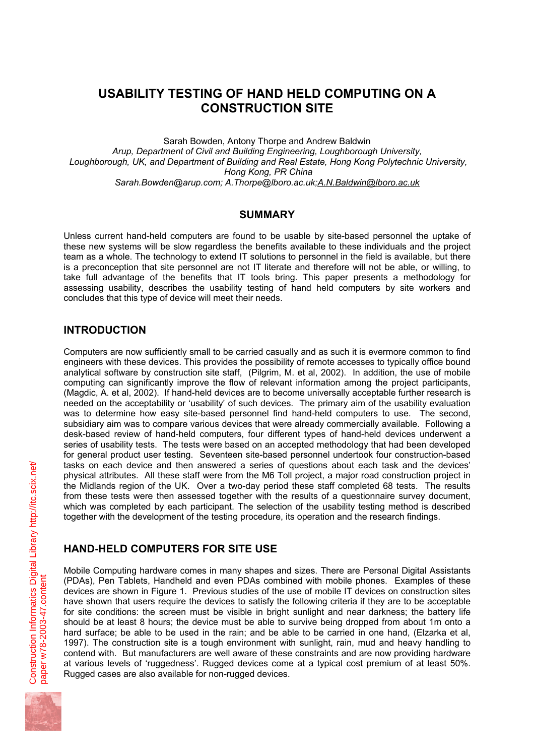# **USABILITY TESTING OF HAND HELD COMPUTING ON A CONSTRUCTION SITE**

Sarah Bowden, Antony Thorpe and Andrew Baldwin *Arup, Department of Civil and Building Engineering, Loughborough University, Loughborough, UK, and Department of Building and Real Estate, Hong Kong Polytechnic University, Hong Kong, PR China Sarah.Bowden@arup.com; A.Thorpe@lboro.ac.uk;A.N.Baldwin@lboro.ac.uk*

### **SUMMARY**

Unless current hand-held computers are found to be usable by site-based personnel the uptake of these new systems will be slow regardless the benefits available to these individuals and the project team as a whole. The technology to extend IT solutions to personnel in the field is available, but there is a preconception that site personnel are not IT literate and therefore will not be able, or willing, to take full advantage of the benefits that IT tools bring. This paper presents a methodology for assessing usability, describes the usability testing of hand held computers by site workers and concludes that this type of device will meet their needs.

### **INTRODUCTION**

Computers are now sufficiently small to be carried casually and as such it is evermore common to find engineers with these devices. This provides the possibility of remote accesses to typically office bound analytical software by construction site staff, (Pilgrim, M. et al, 2002). In addition, the use of mobile computing can significantly improve the flow of relevant information among the project participants, (Magdic, A. et al, 2002). If hand-held devices are to become universally acceptable further research is needed on the acceptability or 'usability' of such devices. The primary aim of the usability evaluation was to determine how easy site-based personnel find hand-held computers to use. The second, subsidiary aim was to compare various devices that were already commercially available. Following a desk-based review of hand-held computers, four different types of hand-held devices underwent a series of usability tests. The tests were based on an accepted methodology that had been developed for general product user testing. Seventeen site-based personnel undertook four construction-based tasks on each device and then answered a series of questions about each task and the devices' physical attributes. All these staff were from the M6 Toll project, a major road construction project in the Midlands region of the UK. Over a two-day period these staff completed 68 tests. The results from these tests were then assessed together with the results of a questionnaire survey document, which was completed by each participant. The selection of the usability testing method is described together with the development of the testing procedure, its operation and the research findings.

## **HAND-HELD COMPUTERS FOR SITE USE**

Mobile Computing hardware comes in many shapes and sizes. There are Personal Digital Assistants (PDAs), Pen Tablets, Handheld and even PDAs combined with mobile phones. Examples of these devices are shown in Figure 1. Previous studies of the use of mobile IT devices on construction sites have shown that users require the devices to satisfy the following criteria if they are to be acceptable for site conditions: the screen must be visible in bright sunlight and near darkness; the battery life should be at least 8 hours; the device must be able to survive being dropped from about 1m onto a hard surface; be able to be used in the rain; and be able to be carried in one hand, (Elzarka et al, 1997). The construction site is a tough environment with sunlight, rain, mud and heavy handling to contend with. But manufacturers are well aware of these constraints and are now providing hardware at various levels of 'ruggedness'. Rugged devices come at a typical cost premium of at least 50%. Rugged cases are also available for non-rugged devices.

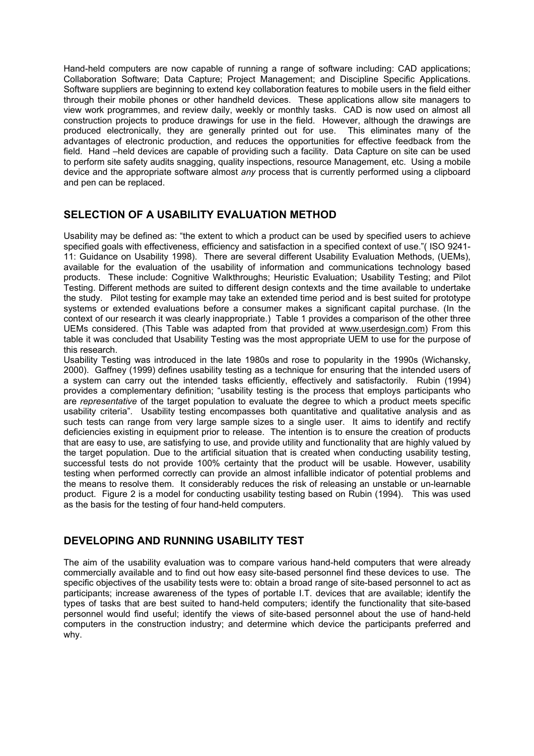Hand-held computers are now capable of running a range of software including: CAD applications; Collaboration Software; Data Capture; Project Management; and Discipline Specific Applications. Software suppliers are beginning to extend key collaboration features to mobile users in the field either through their mobile phones or other handheld devices. These applications allow site managers to view work programmes, and review daily, weekly or monthly tasks. CAD is now used on almost all construction projects to produce drawings for use in the field. However, although the drawings are produced electronically, they are generally printed out for use. This eliminates many of the advantages of electronic production, and reduces the opportunities for effective feedback from the field. Hand –held devices are capable of providing such a facility. Data Capture on site can be used to perform site safety audits snagging, quality inspections, resource Management, etc. Using a mobile device and the appropriate software almost *any* process that is currently performed using a clipboard and pen can be replaced.

### **SELECTION OF A USABILITY EVALUATION METHOD**

Usability may be defined as: "the extent to which a product can be used by specified users to achieve specified goals with effectiveness, efficiency and satisfaction in a specified context of use."( ISO 9241- 11: Guidance on Usability 1998). There are several different Usability Evaluation Methods, (UEMs), available for the evaluation of the usability of information and communications technology based products. These include: Cognitive Walkthroughs; Heuristic Evaluation; Usability Testing; and Pilot Testing. Different methods are suited to different design contexts and the time available to undertake the study. Pilot testing for example may take an extended time period and is best suited for prototype systems or extended evaluations before a consumer makes a significant capital purchase. (In the context of our research it was clearly inappropriate.) Table 1 provides a comparison of the other three UEMs considered. (This Table was adapted from that provided at www.userdesign.com) From this table it was concluded that Usability Testing was the most appropriate UEM to use for the purpose of this research.

Usability Testing was introduced in the late 1980s and rose to popularity in the 1990s (Wichansky, 2000). Gaffney (1999) defines usability testing as a technique for ensuring that the intended users of a system can carry out the intended tasks efficiently, effectively and satisfactorily. Rubin (1994) provides a complementary definition; "usability testing is the process that employs participants who are *representative* of the target population to evaluate the degree to which a product meets specific usability criteria". Usability testing encompasses both quantitative and qualitative analysis and as such tests can range from very large sample sizes to a single user. It aims to identify and rectify deficiencies existing in equipment prior to release. The intention is to ensure the creation of products that are easy to use, are satisfying to use, and provide utility and functionality that are highly valued by the target population. Due to the artificial situation that is created when conducting usability testing, successful tests do not provide 100% certainty that the product will be usable. However, usability testing when performed correctly can provide an almost infallible indicator of potential problems and the means to resolve them. It considerably reduces the risk of releasing an unstable or un-learnable product. Figure 2 is a model for conducting usability testing based on Rubin (1994). This was used as the basis for the testing of four hand-held computers.

### **DEVELOPING AND RUNNING USABILITY TEST**

The aim of the usability evaluation was to compare various hand-held computers that were already commercially available and to find out how easy site-based personnel find these devices to use. The specific objectives of the usability tests were to: obtain a broad range of site-based personnel to act as participants; increase awareness of the types of portable I.T. devices that are available; identify the types of tasks that are best suited to hand-held computers; identify the functionality that site-based personnel would find useful; identify the views of site-based personnel about the use of hand-held computers in the construction industry; and determine which device the participants preferred and why.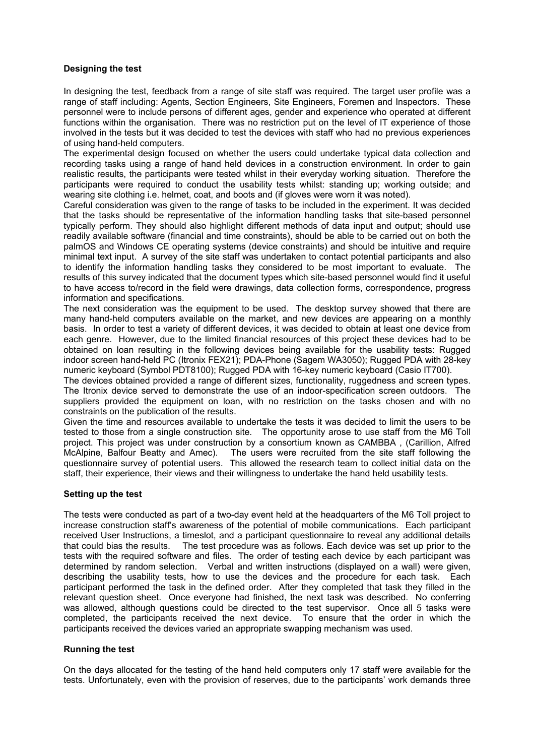#### **Designing the test**

In designing the test, feedback from a range of site staff was required. The target user profile was a range of staff including: Agents, Section Engineers, Site Engineers, Foremen and Inspectors. These personnel were to include persons of different ages, gender and experience who operated at different functions within the organisation. There was no restriction put on the level of IT experience of those involved in the tests but it was decided to test the devices with staff who had no previous experiences of using hand-held computers.

The experimental design focused on whether the users could undertake typical data collection and recording tasks using a range of hand held devices in a construction environment. In order to gain realistic results, the participants were tested whilst in their everyday working situation. Therefore the participants were required to conduct the usability tests whilst: standing up; working outside; and wearing site clothing i.e. helmet, coat, and boots and (if gloves were worn it was noted).

Careful consideration was given to the range of tasks to be included in the experiment. It was decided that the tasks should be representative of the information handling tasks that site-based personnel typically perform. They should also highlight different methods of data input and output; should use readily available software (financial and time constraints), should be able to be carried out on both the palmOS and Windows CE operating systems (device constraints) and should be intuitive and require minimal text input. A survey of the site staff was undertaken to contact potential participants and also to identify the information handling tasks they considered to be most important to evaluate. The results of this survey indicated that the document types which site-based personnel would find it useful to have access to/record in the field were drawings, data collection forms, correspondence, progress information and specifications.

The next consideration was the equipment to be used. The desktop survey showed that there are many hand-held computers available on the market, and new devices are appearing on a monthly basis. In order to test a variety of different devices, it was decided to obtain at least one device from each genre. However, due to the limited financial resources of this project these devices had to be obtained on loan resulting in the following devices being available for the usability tests: Rugged indoor screen hand-held PC (Itronix FEX21); PDA-Phone (Sagem WA3050); Rugged PDA with 28-key numeric keyboard (Symbol PDT8100); Rugged PDA with 16-key numeric keyboard (Casio IT700).

The devices obtained provided a range of different sizes, functionality, ruggedness and screen types. The Itronix device served to demonstrate the use of an indoor-specification screen outdoors. The suppliers provided the equipment on loan, with no restriction on the tasks chosen and with no constraints on the publication of the results.

Given the time and resources available to undertake the tests it was decided to limit the users to be tested to those from a single construction site. The opportunity arose to use staff from the M6 Toll project. This project was under construction by a consortium known as CAMBBA , (Carillion, Alfred McAlpine, Balfour Beatty and Amec). The users were recruited from the site staff following the questionnaire survey of potential users. This allowed the research team to collect initial data on the staff, their experience, their views and their willingness to undertake the hand held usability tests.

#### **Setting up the test**

The tests were conducted as part of a two-day event held at the headquarters of the M6 Toll project to increase construction staff's awareness of the potential of mobile communications. Each participant received User Instructions, a timeslot, and a participant questionnaire to reveal any additional details that could bias the results. The test procedure was as follows. Each device was set up prior to the tests with the required software and files. The order of testing each device by each participant was determined by random selection. Verbal and written instructions (displayed on a wall) were given, describing the usability tests, how to use the devices and the procedure for each task. Each participant performed the task in the defined order. After they completed that task they filled in the relevant question sheet. Once everyone had finished, the next task was described. No conferring was allowed, although questions could be directed to the test supervisor. Once all 5 tasks were completed, the participants received the next device. To ensure that the order in which the participants received the devices varied an appropriate swapping mechanism was used.

#### **Running the test**

On the days allocated for the testing of the hand held computers only 17 staff were available for the tests. Unfortunately, even with the provision of reserves, due to the participants' work demands three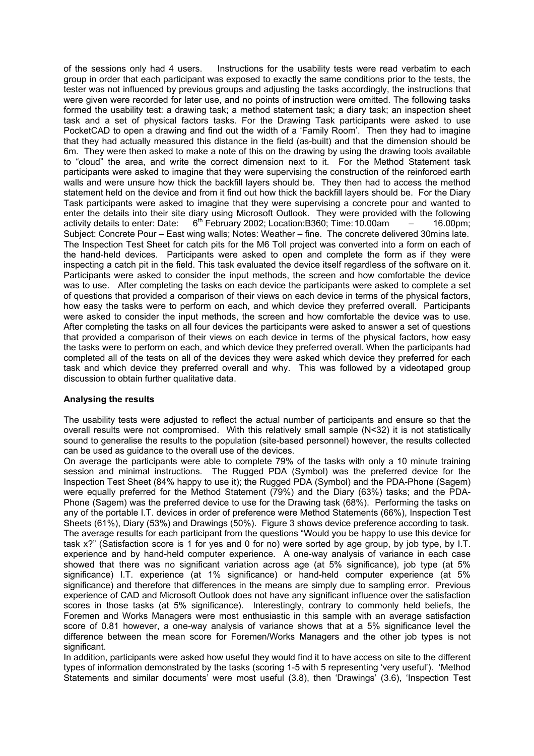of the sessions only had 4 users. Instructions for the usability tests were read verbatim to each group in order that each participant was exposed to exactly the same conditions prior to the tests, the tester was not influenced by previous groups and adjusting the tasks accordingly, the instructions that were given were recorded for later use, and no points of instruction were omitted. The following tasks formed the usability test: a drawing task; a method statement task; a diary task; an inspection sheet task and a set of physical factors tasks. For the Drawing Task participants were asked to use PocketCAD to open a drawing and find out the width of a 'Family Room'. Then they had to imagine that they had actually measured this distance in the field (as-built) and that the dimension should be 6m. They were then asked to make a note of this on the drawing by using the drawing tools available to "cloud" the area, and write the correct dimension next to it. For the Method Statement task participants were asked to imagine that they were supervising the construction of the reinforced earth walls and were unsure how thick the backfill layers should be. They then had to access the method statement held on the device and from it find out how thick the backfill layers should be. For the Diary Task participants were asked to imagine that they were supervising a concrete pour and wanted to enter the details into their site diary using Microsoft Outlook. They were provided with the following activity details to enter: Date:  $6^{th}$  February 2002; Location:B360; Time: 10.00am – 16.00pm; Subject: Concrete Pour – East wing walls; Notes: Weather – fine. The concrete delivered 30mins late. The Inspection Test Sheet for catch pits for the M6 Toll project was converted into a form on each of the hand-held devices. Participants were asked to open and complete the form as if they were inspecting a catch pit in the field. This task evaluated the device itself regardless of the software on it. Participants were asked to consider the input methods, the screen and how comfortable the device was to use. After completing the tasks on each device the participants were asked to complete a set of questions that provided a comparison of their views on each device in terms of the physical factors, how easy the tasks were to perform on each, and which device they preferred overall. Participants were asked to consider the input methods, the screen and how comfortable the device was to use. After completing the tasks on all four devices the participants were asked to answer a set of questions that provided a comparison of their views on each device in terms of the physical factors, how easy the tasks were to perform on each, and which device they preferred overall. When the participants had completed all of the tests on all of the devices they were asked which device they preferred for each task and which device they preferred overall and why. This was followed by a videotaped group discussion to obtain further qualitative data.

#### **Analysing the results**

The usability tests were adjusted to reflect the actual number of participants and ensure so that the overall results were not compromised. With this relatively small sample (N<32) it is not statistically sound to generalise the results to the population (site-based personnel) however, the results collected can be used as guidance to the overall use of the devices.

On average the participants were able to complete 79% of the tasks with only a 10 minute training session and minimal instructions. The Rugged PDA (Symbol) was the preferred device for the Inspection Test Sheet (84% happy to use it); the Rugged PDA (Symbol) and the PDA-Phone (Sagem) were equally preferred for the Method Statement (79%) and the Diary (63%) tasks; and the PDA-Phone (Sagem) was the preferred device to use for the Drawing task (68%). Performing the tasks on any of the portable I.T. devices in order of preference were Method Statements (66%), Inspection Test Sheets (61%), Diary (53%) and Drawings (50%). Figure 3 shows device preference according to task. The average results for each participant from the questions "Would you be happy to use this device for task x?" (Satisfaction score is 1 for yes and 0 for no) were sorted by age group, by job type, by I.T. experience and by hand-held computer experience. A one-way analysis of variance in each case showed that there was no significant variation across age (at 5% significance), job type (at 5% significance) I.T. experience (at 1% significance) or hand-held computer experience (at 5% significance) and therefore that differences in the means are simply due to sampling error. Previous experience of CAD and Microsoft Outlook does not have any significant influence over the satisfaction scores in those tasks (at 5% significance). Interestingly, contrary to commonly held beliefs, the Foremen and Works Managers were most enthusiastic in this sample with an average satisfaction score of 0.81 however, a one-way analysis of variance shows that at a 5% significance level the difference between the mean score for Foremen/Works Managers and the other job types is not significant.

In addition, participants were asked how useful they would find it to have access on site to the different types of information demonstrated by the tasks (scoring 1-5 with 5 representing 'very useful'). 'Method Statements and similar documents' were most useful (3.8), then 'Drawings' (3.6), 'Inspection Test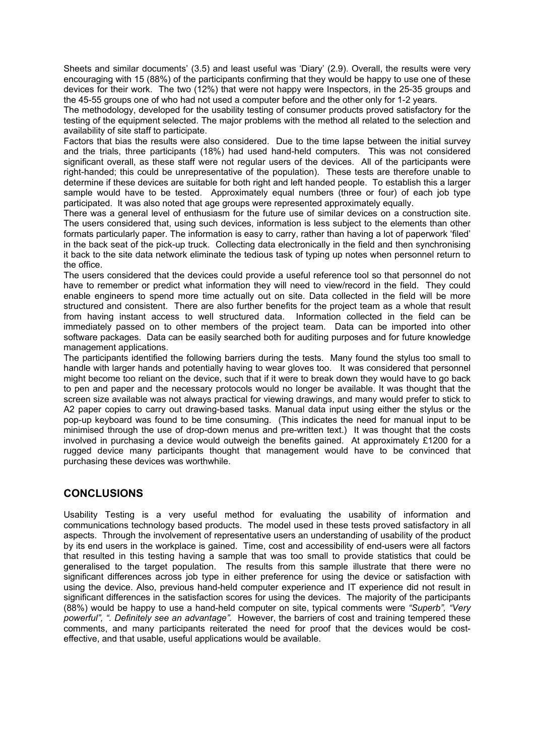Sheets and similar documents' (3.5) and least useful was 'Diary' (2.9). Overall, the results were very encouraging with 15 (88%) of the participants confirming that they would be happy to use one of these devices for their work. The two (12%) that were not happy were Inspectors, in the 25-35 groups and the 45-55 groups one of who had not used a computer before and the other only for 1-2 years.

The methodology, developed for the usability testing of consumer products proved satisfactory for the testing of the equipment selected. The major problems with the method all related to the selection and availability of site staff to participate.

Factors that bias the results were also considered. Due to the time lapse between the initial survey and the trials, three participants (18%) had used hand-held computers. This was not considered significant overall, as these staff were not regular users of the devices. All of the participants were right-handed; this could be unrepresentative of the population). These tests are therefore unable to determine if these devices are suitable for both right and left handed people. To establish this a larger sample would have to be tested. Approximately equal numbers (three or four) of each job type participated. It was also noted that age groups were represented approximately equally.

There was a general level of enthusiasm for the future use of similar devices on a construction site. The users considered that, using such devices, information is less subject to the elements than other formats particularly paper. The information is easy to carry, rather than having a lot of paperwork 'filed' in the back seat of the pick-up truck. Collecting data electronically in the field and then synchronising it back to the site data network eliminate the tedious task of typing up notes when personnel return to the office.

The users considered that the devices could provide a useful reference tool so that personnel do not have to remember or predict what information they will need to view/record in the field. They could enable engineers to spend more time actually out on site. Data collected in the field will be more structured and consistent. There are also further benefits for the project team as a whole that result from having instant access to well structured data. Information collected in the field can be immediately passed on to other members of the project team. Data can be imported into other software packages. Data can be easily searched both for auditing purposes and for future knowledge management applications.

The participants identified the following barriers during the tests. Many found the stylus too small to handle with larger hands and potentially having to wear gloves too. It was considered that personnel might become too reliant on the device, such that if it were to break down they would have to go back to pen and paper and the necessary protocols would no longer be available. It was thought that the screen size available was not always practical for viewing drawings, and many would prefer to stick to A2 paper copies to carry out drawing-based tasks. Manual data input using either the stylus or the pop-up keyboard was found to be time consuming. (This indicates the need for manual input to be minimised through the use of drop-down menus and pre-written text.) It was thought that the costs involved in purchasing a device would outweigh the benefits gained. At approximately £1200 for a rugged device many participants thought that management would have to be convinced that purchasing these devices was worthwhile.

### **CONCLUSIONS**

Usability Testing is a very useful method for evaluating the usability of information and communications technology based products. The model used in these tests proved satisfactory in all aspects. Through the involvement of representative users an understanding of usability of the product by its end users in the workplace is gained. Time, cost and accessibility of end-users were all factors that resulted in this testing having a sample that was too small to provide statistics that could be generalised to the target population. The results from this sample illustrate that there were no significant differences across job type in either preference for using the device or satisfaction with using the device. Also, previous hand-held computer experience and IT experience did not result in significant differences in the satisfaction scores for using the devices. The majority of the participants (88%) would be happy to use a hand-held computer on site, typical comments were *"Superb", "Very powerful", ". Definitely see an advantage".* However, the barriers of cost and training tempered these comments, and many participants reiterated the need for proof that the devices would be costeffective, and that usable, useful applications would be available.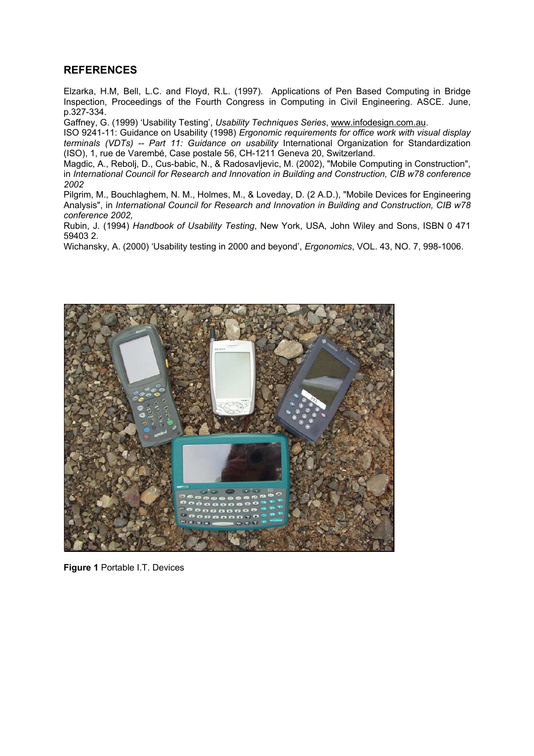### **REFERENCES**

Elzarka, H.M, Bell, L.C. and Floyd, R.L. (1997). Applications of Pen Based Computing in Bridge Inspection, Proceedings of the Fourth Congress in Computing in Civil Engineering. ASCE. June, p.327-334.

Gaffney, G. (1999) 'Usability Testing', *Usability Techniques Series*, www.infodesign.com.au.

ISO 9241-11: Guidance on Usability (1998) *Ergonomic requirements for office work with visual display terminals (VDTs) -- Part 11: Guidance on usability* International Organization for Standardization (ISO), 1, rue de Varembé, Case postale 56, CH-1211 Geneva 20, Switzerland.

Magdic, A., Rebolj, D., Cus-babic, N., & Radosavljevic, M. (2002), "Mobile Computing in Construction", in *International Council for Research and Innovation in Building and Construction, CIB w78 conference 2002*

Pilgrim, M., Bouchlaghem, N. M., Holmes, M., & Loveday, D. (2 A.D.), "Mobile Devices for Engineering Analysis", in *International Council for Research and Innovation in Building and Construction, CIB w78 conference 2002,* 

Rubin, J. (1994) *Handbook of Usability Testing*, New York, USA, John Wiley and Sons, ISBN 0 471 59403 2.

Wichansky, A. (2000) 'Usability testing in 2000 and beyond', *Ergonomics*, VOL. 43, NO. 7, 998-1006.



**Figure 1** Portable I.T. Devices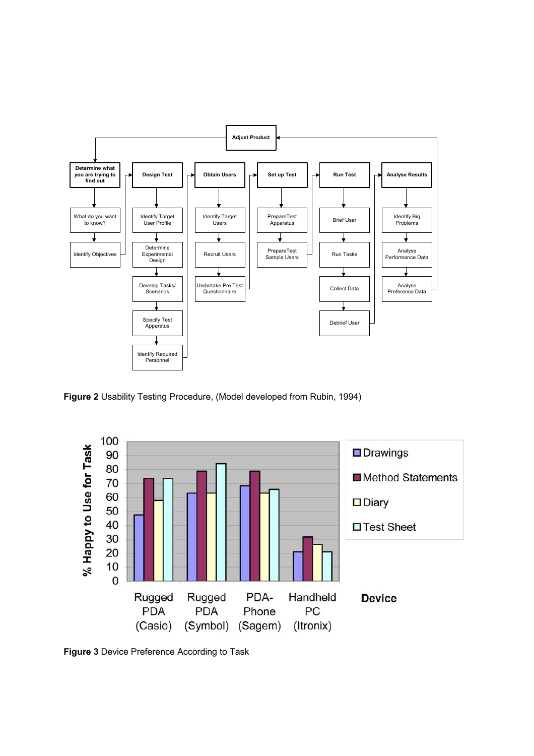

**Figure 2** Usability Testing Procedure, (Model developed from Rubin, 1994)



**Figure 3** Device Preference According to Task